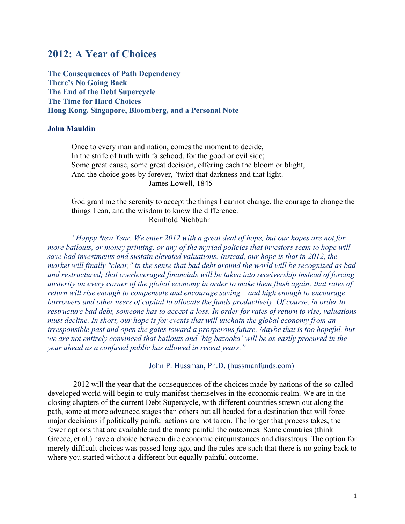# **2012: A Year of Choices**

**The Consequences of Path Dependency There's No Going Back The End of the Debt Supercycle The Time for Hard Choices Hong Kong, Singapore, Bloomberg, and a Personal Note**

## **John Mauldin**

Once to every man and nation, comes the moment to decide, In the strife of truth with falsehood, for the good or evil side; Some great cause, some great decision, offering each the bloom or blight, And the choice goes by forever, 'twixt that darkness and that light. – James Lowell, 1845

God grant me the serenity to accept the things I cannot change, the courage to change the things I can, and the wisdom to know the difference. – Reinhold Niehbuhr

*"Happy New Year. We enter 2012 with a great deal of hope, but our hopes are not for more bailouts, or money printing, or any of the myriad policies that investors seem to hope will save bad investments and sustain elevated valuations. Instead, our hope is that in 2012, the market will finally "clear," in the sense that bad debt around the world will be recognized as bad and restructured; that overleveraged financials will be taken into receivership instead of forcing austerity on every corner of the global economy in order to make them flush again; that rates of return will rise enough to compensate and encourage saving – and high enough to encourage borrowers and other users of capital to allocate the funds productively. Of course, in order to restructure bad debt, someone has to accept a loss. In order for rates of return to rise, valuations must decline. In short, our hope is for events that will unchain the global economy from an irresponsible past and open the gates toward a prosperous future. Maybe that is too hopeful, but we are not entirely convinced that bailouts and 'big bazooka' will be as easily procured in the year ahead as a confused public has allowed in recent years."*

– John P. Hussman, Ph.D. (hussmanfunds.com)

 2012 will the year that the consequences of the choices made by nations of the so-called developed world will begin to truly manifest themselves in the economic realm. We are in the closing chapters of the current Debt Supercycle, with different countries strewn out along the path, some at more advanced stages than others but all headed for a destination that will force major decisions if politically painful actions are not taken. The longer that process takes, the fewer options that are available and the more painful the outcomes. Some countries (think Greece, et al.) have a choice between dire economic circumstances and disastrous. The option for merely difficult choices was passed long ago, and the rules are such that there is no going back to where you started without a different but equally painful outcome.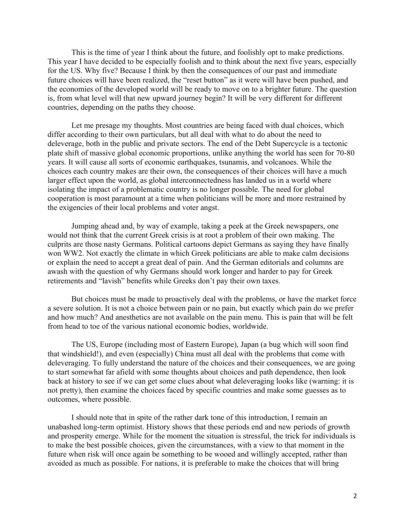This is the time of year I think about the future, and foolishly opt to make predictions. This year I have decided to be especially foolish and to think about the next five years, especially for the US. Why five? Because I think by then the consequences of our past and immediate future choices will have been realized, the "reset button" as it were will have been pushed, and the economies of the developed world will be ready to move on to a brighter future. The question is, from what level will that new upward journey begin? It will be very different for different countries, depending on the paths they choose.

Let me presage my thoughts. Most countries are being faced with dual choices, which differ according to their own particulars, but all deal with what to do about the need to deleverage, both in the public and private sectors. The end of the Debt Supercycle is a tectonic plate shift of massive global economic proportions, unlike anything the world has seen for 70-80 years. It will cause all sorts of economic earthquakes, tsunamis, and volcanoes. While the choices each country makes are their own, the consequences of their choices will have a much larger effect upon the world, as global interconnectedness has landed us in a world where isolating the impact of a problematic country is no longer possible. The need for global cooperation is most paramount at a time when politicians will be more and more restrained by the exigencies of their local problems and voter angst.

Jumping ahead and, by way of example, taking a peek at the Greek newspapers, one would not think that the current Greek crisis is at root a problem of their own making. The culprits are those nasty Germans. Political cartoons depict Germans as saying they have finally won WW2. Not exactly the climate in which Greek politicians are able to make calm decisions or explain the need to accept a great deal of pain. And the German editorials and columns are awash with the question of why Germans should work longer and harder to pay for Greek retirements and "lavish" benefits while Greeks don't pay their own taxes.

But choices must be made to proactively deal with the problems, or have the market force a severe solution. It is not a choice between pain or no pain, but exactly which pain do we prefer and how much? And anesthetics are not available on the pain menu. This is pain that will be felt from head to toe of the various national economic bodies, worldwide.

The US, Europe (including most of Eastern Europe), Japan (a bug which will soon find that windshield!), and even (especially) China must all deal with the problems that come with deleveraging. To fully understand the nature of the choices and their consequences, we are going to start somewhat far afield with some thoughts about choices and path dependence, then look back at history to see if we can get some clues about what deleveraging looks like (warning: it is not pretty), then examine the choices faced by specific countries and make some guesses as to outcomes, where possible.

I should note that in spite of the rather dark tone of this introduction, I remain an unabashed long-term optimist. History shows that these periods end and new periods of growth and prosperity emerge. While for the moment the situation is stressful, the trick for individuals is to make the best possible choices, given the circumstances, with a view to that moment in the future when risk will once again be something to be wooed and willingly accepted, rather than avoided as much as possible. For nations, it is preferable to make the choices that will bring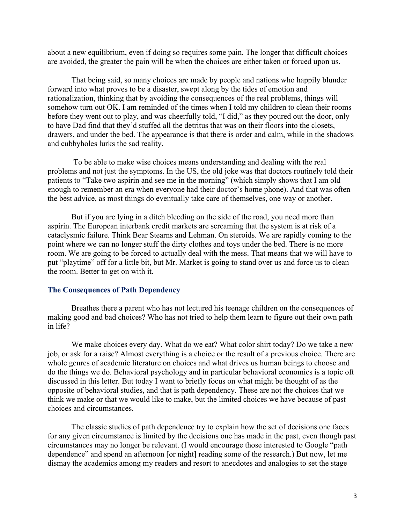about a new equilibrium, even if doing so requires some pain. The longer that difficult choices are avoided, the greater the pain will be when the choices are either taken or forced upon us.

That being said, so many choices are made by people and nations who happily blunder forward into what proves to be a disaster, swept along by the tides of emotion and rationalization, thinking that by avoiding the consequences of the real problems, things will somehow turn out OK. I am reminded of the times when I told my children to clean their rooms before they went out to play, and was cheerfully told, "I did," as they poured out the door, only to have Dad find that they'd stuffed all the detritus that was on their floors into the closets, drawers, and under the bed. The appearance is that there is order and calm, while in the shadows and cubbyholes lurks the sad reality.

 To be able to make wise choices means understanding and dealing with the real problems and not just the symptoms. In the US, the old joke was that doctors routinely told their patients to "Take two aspirin and see me in the morning" (which simply shows that I am old enough to remember an era when everyone had their doctor's home phone). And that was often the best advice, as most things do eventually take care of themselves, one way or another.

But if you are lying in a ditch bleeding on the side of the road, you need more than aspirin. The European interbank credit markets are screaming that the system is at risk of a cataclysmic failure. Think Bear Stearns and Lehman. On steroids. We are rapidly coming to the point where we can no longer stuff the dirty clothes and toys under the bed. There is no more room. We are going to be forced to actually deal with the mess. That means that we will have to put "playtime" off for a little bit, but Mr. Market is going to stand over us and force us to clean the room. Better to get on with it.

### **The Consequences of Path Dependency**

Breathes there a parent who has not lectured his teenage children on the consequences of making good and bad choices? Who has not tried to help them learn to figure out their own path in life?

We make choices every day. What do we eat? What color shirt today? Do we take a new job, or ask for a raise? Almost everything is a choice or the result of a previous choice. There are whole genres of academic literature on choices and what drives us human beings to choose and do the things we do. Behavioral psychology and in particular behavioral economics is a topic oft discussed in this letter. But today I want to briefly focus on what might be thought of as the opposite of behavioral studies, and that is path dependency. These are not the choices that we think we make or that we would like to make, but the limited choices we have because of past choices and circumstances.

The classic studies of path dependence try to explain how the set of decisions one faces for any given circumstance is limited by the decisions one has made in the past, even though past circumstances may no longer be relevant. (I would encourage those interested to Google "path dependence" and spend an afternoon [or night] reading some of the research.) But now, let me dismay the academics among my readers and resort to anecdotes and analogies to set the stage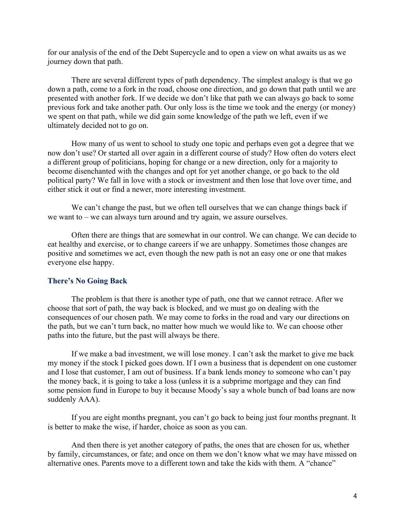for our analysis of the end of the Debt Supercycle and to open a view on what awaits us as we journey down that path.

There are several different types of path dependency. The simplest analogy is that we go down a path, come to a fork in the road, choose one direction, and go down that path until we are presented with another fork. If we decide we don't like that path we can always go back to some previous fork and take another path. Our only loss is the time we took and the energy (or money) we spent on that path, while we did gain some knowledge of the path we left, even if we ultimately decided not to go on.

How many of us went to school to study one topic and perhaps even got a degree that we now don't use? Or started all over again in a different course of study? How often do voters elect a different group of politicians, hoping for change or a new direction, only for a majority to become disenchanted with the changes and opt for yet another change, or go back to the old political party? We fall in love with a stock or investment and then lose that love over time, and either stick it out or find a newer, more interesting investment.

We can't change the past, but we often tell ourselves that we can change things back if we want to – we can always turn around and try again, we assure ourselves.

Often there are things that are somewhat in our control. We can change. We can decide to eat healthy and exercise, or to change careers if we are unhappy. Sometimes those changes are positive and sometimes we act, even though the new path is not an easy one or one that makes everyone else happy.

### **There's No Going Back**

The problem is that there is another type of path, one that we cannot retrace. After we choose that sort of path, the way back is blocked, and we must go on dealing with the consequences of our chosen path. We may come to forks in the road and vary our directions on the path, but we can't turn back, no matter how much we would like to. We can choose other paths into the future, but the past will always be there.

If we make a bad investment, we will lose money. I can't ask the market to give me back my money if the stock I picked goes down. If I own a business that is dependent on one customer and I lose that customer, I am out of business. If a bank lends money to someone who can't pay the money back, it is going to take a loss (unless it is a subprime mortgage and they can find some pension fund in Europe to buy it because Moody's say a whole bunch of bad loans are now suddenly AAA).

If you are eight months pregnant, you can't go back to being just four months pregnant. It is better to make the wise, if harder, choice as soon as you can.

And then there is yet another category of paths, the ones that are chosen for us, whether by family, circumstances, or fate; and once on them we don't know what we may have missed on alternative ones. Parents move to a different town and take the kids with them. A "chance"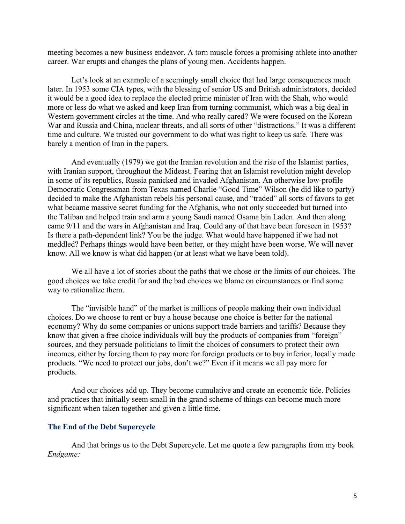meeting becomes a new business endeavor. A torn muscle forces a promising athlete into another career. War erupts and changes the plans of young men. Accidents happen.

Let's look at an example of a seemingly small choice that had large consequences much later. In 1953 some CIA types, with the blessing of senior US and British administrators, decided it would be a good idea to replace the elected prime minister of Iran with the Shah, who would more or less do what we asked and keep Iran from turning communist, which was a big deal in Western government circles at the time. And who really cared? We were focused on the Korean War and Russia and China, nuclear threats, and all sorts of other "distractions." It was a different time and culture. We trusted our government to do what was right to keep us safe. There was barely a mention of Iran in the papers.

And eventually (1979) we got the Iranian revolution and the rise of the Islamist parties, with Iranian support, throughout the Mideast. Fearing that an Islamist revolution might develop in some of its republics, Russia panicked and invaded Afghanistan. An otherwise low-profile Democratic Congressman from Texas named Charlie "Good Time" Wilson (he did like to party) decided to make the Afghanistan rebels his personal cause, and "traded" all sorts of favors to get what became massive secret funding for the Afghanis, who not only succeeded but turned into the Taliban and helped train and arm a young Saudi named Osama bin Laden. And then along came 9/11 and the wars in Afghanistan and Iraq. Could any of that have been foreseen in 1953? Is there a path-dependent link? You be the judge. What would have happened if we had not meddled? Perhaps things would have been better, or they might have been worse. We will never know. All we know is what did happen (or at least what we have been told).

We all have a lot of stories about the paths that we chose or the limits of our choices. The good choices we take credit for and the bad choices we blame on circumstances or find some way to rationalize them.

The "invisible hand" of the market is millions of people making their own individual choices. Do we choose to rent or buy a house because one choice is better for the national economy? Why do some companies or unions support trade barriers and tariffs? Because they know that given a free choice individuals will buy the products of companies from "foreign" sources, and they persuade politicians to limit the choices of consumers to protect their own incomes, either by forcing them to pay more for foreign products or to buy inferior, locally made products. "We need to protect our jobs, don't we?" Even if it means we all pay more for products.

And our choices add up. They become cumulative and create an economic tide. Policies and practices that initially seem small in the grand scheme of things can become much more significant when taken together and given a little time.

#### **The End of the Debt Supercycle**

And that brings us to the Debt Supercycle. Let me quote a few paragraphs from my book *Endgame:*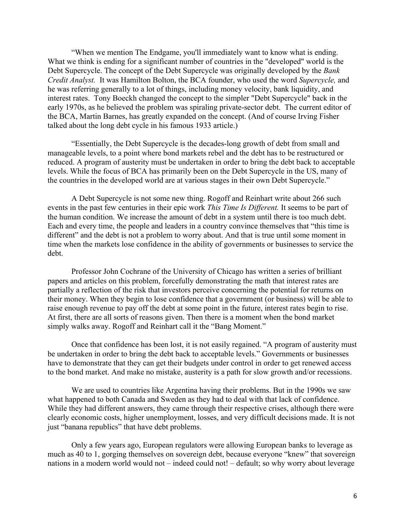"When we mention The Endgame, you'll immediately want to know what is ending. What we think is ending for a significant number of countries in the "developed" world is the Debt Supercycle. The concept of the Debt Supercycle was originally developed by the *Bank Credit Analyst.* It was Hamilton Bolton, the BCA founder, who used the word *Supercycle,* and he was referring generally to a lot of things, including money velocity, bank liquidity, and interest rates. Tony Boeckh changed the concept to the simpler "Debt Supercycle" back in the early 1970s, as he believed the problem was spiraling private-sector debt. The current editor of the BCA, Martin Barnes, has greatly expanded on the concept. (And of course Irving Fisher talked about the long debt cycle in his famous 1933 article.)

"Essentially, the Debt Supercycle is the decades-long growth of debt from small and manageable levels, to a point where bond markets rebel and the debt has to be restructured or reduced. A program of austerity must be undertaken in order to bring the debt back to acceptable levels. While the focus of BCA has primarily been on the Debt Supercycle in the US, many of the countries in the developed world are at various stages in their own Debt Supercycle."

A Debt Supercycle is not some new thing. Rogoff and Reinhart write about 266 such events in the past few centuries in their epic work *This Time Is Different.* It seems to be part of the human condition. We increase the amount of debt in a system until there is too much debt. Each and every time, the people and leaders in a country convince themselves that "this time is different" and the debt is not a problem to worry about. And that is true until some moment in time when the markets lose confidence in the ability of governments or businesses to service the debt.

Professor John Cochrane of the University of Chicago has written a series of brilliant papers and articles on this problem, forcefully demonstrating the math that interest rates are partially a reflection of the risk that investors perceive concerning the potential for returns on their money. When they begin to lose confidence that a government (or business) will be able to raise enough revenue to pay off the debt at some point in the future, interest rates begin to rise. At first, there are all sorts of reasons given. Then there is a moment when the bond market simply walks away. Rogoff and Reinhart call it the "Bang Moment."

Once that confidence has been lost, it is not easily regained. "A program of austerity must be undertaken in order to bring the debt back to acceptable levels." Governments or businesses have to demonstrate that they can get their budgets under control in order to get renewed access to the bond market. And make no mistake, austerity is a path for slow growth and/or recessions.

We are used to countries like Argentina having their problems. But in the 1990s we saw what happened to both Canada and Sweden as they had to deal with that lack of confidence. While they had different answers, they came through their respective crises, although there were clearly economic costs, higher unemployment, losses, and very difficult decisions made. It is not just "banana republics" that have debt problems.

Only a few years ago, European regulators were allowing European banks to leverage as much as 40 to 1, gorging themselves on sovereign debt, because everyone "knew" that sovereign nations in a modern world would not – indeed could not! – default; so why worry about leverage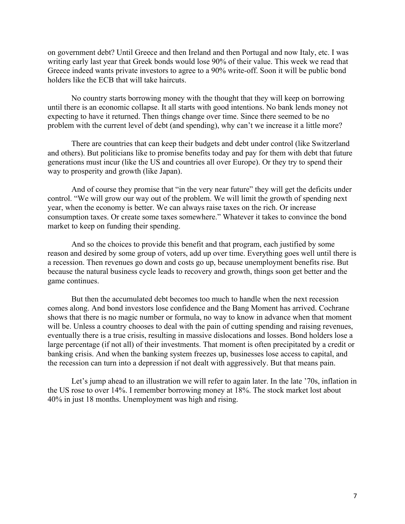on government debt? Until Greece and then Ireland and then Portugal and now Italy, etc. I was writing early last year that Greek bonds would lose 90% of their value. This week we read that Greece indeed wants private investors to agree to a 90% write-off. Soon it will be public bond holders like the ECB that will take haircuts.

No country starts borrowing money with the thought that they will keep on borrowing until there is an economic collapse. It all starts with good intentions. No bank lends money not expecting to have it returned. Then things change over time. Since there seemed to be no problem with the current level of debt (and spending), why can't we increase it a little more?

There are countries that can keep their budgets and debt under control (like Switzerland and others). But politicians like to promise benefits today and pay for them with debt that future generations must incur (like the US and countries all over Europe). Or they try to spend their way to prosperity and growth (like Japan).

And of course they promise that "in the very near future" they will get the deficits under control. "We will grow our way out of the problem. We will limit the growth of spending next year, when the economy is better. We can always raise taxes on the rich. Or increase consumption taxes. Or create some taxes somewhere." Whatever it takes to convince the bond market to keep on funding their spending.

And so the choices to provide this benefit and that program, each justified by some reason and desired by some group of voters, add up over time. Everything goes well until there is a recession. Then revenues go down and costs go up, because unemployment benefits rise. But because the natural business cycle leads to recovery and growth, things soon get better and the game continues.

But then the accumulated debt becomes too much to handle when the next recession comes along. And bond investors lose confidence and the Bang Moment has arrived. Cochrane shows that there is no magic number or formula, no way to know in advance when that moment will be. Unless a country chooses to deal with the pain of cutting spending and raising revenues, eventually there is a true crisis, resulting in massive dislocations and losses. Bond holders lose a large percentage (if not all) of their investments. That moment is often precipitated by a credit or banking crisis. And when the banking system freezes up, businesses lose access to capital, and the recession can turn into a depression if not dealt with aggressively. But that means pain.

Let's jump ahead to an illustration we will refer to again later. In the late '70s, inflation in the US rose to over 14%. I remember borrowing money at 18%. The stock market lost about 40% in just 18 months. Unemployment was high and rising.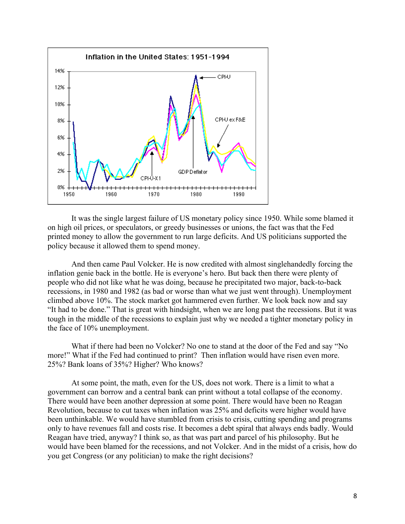

It was the single largest failure of US monetary policy since 1950. While some blamed it on high oil prices, or speculators, or greedy businesses or unions, the fact was that the Fed printed money to allow the government to run large deficits. And US politicians supported the policy because it allowed them to spend money.

And then came Paul Volcker. He is now credited with almost singlehandedly forcing the inflation genie back in the bottle. He is everyone's hero. But back then there were plenty of people who did not like what he was doing, because he precipitated two major, back-to-back recessions, in 1980 and 1982 (as bad or worse than what we just went through). Unemployment climbed above 10%. The stock market got hammered even further. We look back now and say "It had to be done." That is great with hindsight, when we are long past the recessions. But it was tough in the middle of the recessions to explain just why we needed a tighter monetary policy in the face of 10% unemployment.

What if there had been no Volcker? No one to stand at the door of the Fed and say "No more!" What if the Fed had continued to print? Then inflation would have risen even more. 25%? Bank loans of 35%? Higher? Who knows?

At some point, the math, even for the US, does not work. There is a limit to what a government can borrow and a central bank can print without a total collapse of the economy. There would have been another depression at some point. There would have been no Reagan Revolution, because to cut taxes when inflation was 25% and deficits were higher would have been unthinkable. We would have stumbled from crisis to crisis, cutting spending and programs only to have revenues fall and costs rise. It becomes a debt spiral that always ends badly. Would Reagan have tried, anyway? I think so, as that was part and parcel of his philosophy. But he would have been blamed for the recessions, and not Volcker. And in the midst of a crisis, how do you get Congress (or any politician) to make the right decisions?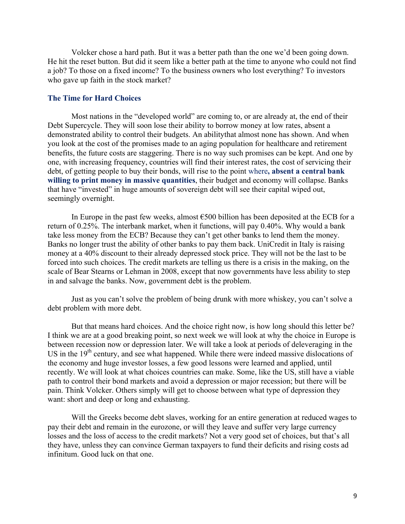Volcker chose a hard path. But it was a better path than the one we'd been going down. He hit the reset button. But did it seem like a better path at the time to anyone who could not find a job? To those on a fixed income? To the business owners who lost everything? To investors who gave up faith in the stock market?

### **The Time for Hard Choices**

Most nations in the "developed world" are coming to, or are already at, the end of their Debt Supercycle. They will soon lose their ability to borrow money at low rates, absent a demonstrated ability to control their budgets. An abilitythat almost none has shown. And when you look at the cost of the promises made to an aging population for healthcare and retirement benefits, the future costs are staggering. There is no way such promises can be kept. And one by one, with increasing frequency, countries will find their interest rates, the cost of servicing their debt, of getting people to buy their bonds, will rise to the point where**, absent a central bank willing to print money in massive quantities**, their budget and economy will collapse. Banks that have "invested" in huge amounts of sovereign debt will see their capital wiped out, seemingly overnight.

In Europe in the past few weeks, almost  $\epsilon$ 500 billion has been deposited at the ECB for a return of 0.25%. The interbank market, when it functions, will pay 0.40%. Why would a bank take less money from the ECB? Because they can't get other banks to lend them the money. Banks no longer trust the ability of other banks to pay them back. UniCredit in Italy is raising money at a 40% discount to their already depressed stock price. They will not be the last to be forced into such choices. The credit markets are telling us there is a crisis in the making, on the scale of Bear Stearns or Lehman in 2008, except that now governments have less ability to step in and salvage the banks. Now, government debt is the problem.

Just as you can't solve the problem of being drunk with more whiskey, you can't solve a debt problem with more debt.

But that means hard choices. And the choice right now, is how long should this letter be? I think we are at a good breaking point, so next week we will look at why the choice in Europe is between recession now or depression later. We will take a look at periods of deleveraging in the US in the  $19<sup>th</sup>$  century, and see what happened. While there were indeed massive dislocations of the economy and huge investor losses, a few good lessons were learned and applied, until recently. We will look at what choices countries can make. Some, like the US, still have a viable path to control their bond markets and avoid a depression or major recession; but there will be pain. Think Volcker. Others simply will get to choose between what type of depression they want: short and deep or long and exhausting.

Will the Greeks become debt slaves, working for an entire generation at reduced wages to pay their debt and remain in the eurozone, or will they leave and suffer very large currency losses and the loss of access to the credit markets? Not a very good set of choices, but that's all they have, unless they can convince German taxpayers to fund their deficits and rising costs ad infinitum. Good luck on that one.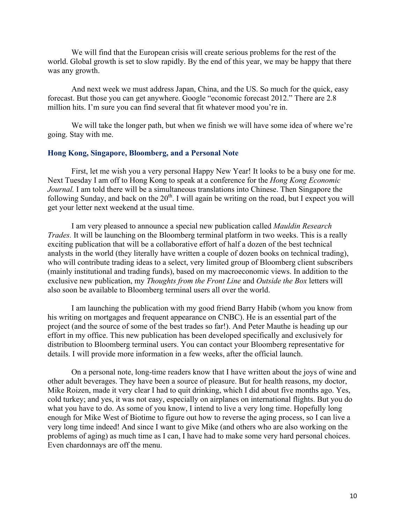We will find that the European crisis will create serious problems for the rest of the world. Global growth is set to slow rapidly. By the end of this year, we may be happy that there was any growth.

And next week we must address Japan, China, and the US. So much for the quick, easy forecast. But those you can get anywhere. Google "economic forecast 2012." There are 2.8 million hits. I'm sure you can find several that fit whatever mood you're in.

We will take the longer path, but when we finish we will have some idea of where we're going. Stay with me.

#### **Hong Kong, Singapore, Bloomberg, and a Personal Note**

First, let me wish you a very personal Happy New Year! It looks to be a busy one for me. Next Tuesday I am off to Hong Kong to speak at a conference for the *Hong Kong Economic Journal.* I am told there will be a simultaneous translations into Chinese. Then Singapore the following Sunday, and back on the  $20<sup>th</sup>$ . I will again be writing on the road, but I expect you will get your letter next weekend at the usual time.

I am very pleased to announce a special new publication called *Mauldin Research Trades.* It will be launching on the Bloomberg terminal platform in two weeks. This is a really exciting publication that will be a collaborative effort of half a dozen of the best technical analysts in the world (they literally have written a couple of dozen books on technical trading), who will contribute trading ideas to a select, very limited group of Bloomberg client subscribers (mainly institutional and trading funds), based on my macroeconomic views. In addition to the exclusive new publication, my *Thoughts from the Front Line* and *Outside the Box* letters will also soon be available to Bloomberg terminal users all over the world.

I am launching the publication with my good friend Barry Habib (whom you know from his writing on mortgages and frequent appearance on CNBC). He is an essential part of the project (and the source of some of the best trades so far!). And Peter Mauthe is heading up our effort in my office. This new publication has been developed specifically and exclusively for distribution to Bloomberg terminal users. You can contact your Bloomberg representative for details. I will provide more information in a few weeks, after the official launch.

On a personal note, long-time readers know that I have written about the joys of wine and other adult beverages. They have been a source of pleasure. But for health reasons, my doctor, Mike Roizen, made it very clear I had to quit drinking, which I did about five months ago. Yes, cold turkey; and yes, it was not easy, especially on airplanes on international flights. But you do what you have to do. As some of you know, I intend to live a very long time. Hopefully long enough for Mike West of Biotime to figure out how to reverse the aging process, so I can live a very long time indeed! And since I want to give Mike (and others who are also working on the problems of aging) as much time as I can, I have had to make some very hard personal choices. Even chardonnays are off the menu.